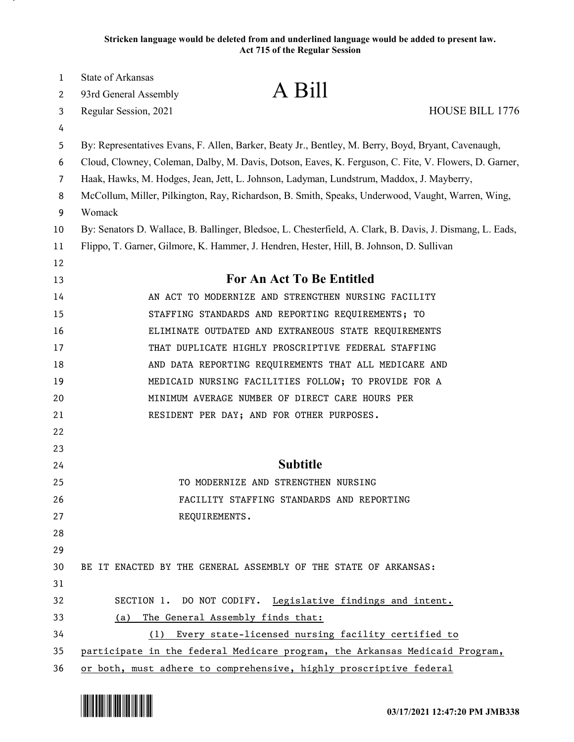**Stricken language would be deleted from and underlined language would be added to present law. Act 715 of the Regular Session**

| 1  | <b>State of Arkansas</b>                                                                                  |  |
|----|-----------------------------------------------------------------------------------------------------------|--|
| 2  | A Bill<br>93rd General Assembly                                                                           |  |
| 3  | HOUSE BILL 1776<br>Regular Session, 2021                                                                  |  |
| 4  |                                                                                                           |  |
| 5  | By: Representatives Evans, F. Allen, Barker, Beaty Jr., Bentley, M. Berry, Boyd, Bryant, Cavenaugh,       |  |
| 6  | Cloud, Clowney, Coleman, Dalby, M. Davis, Dotson, Eaves, K. Ferguson, C. Fite, V. Flowers, D. Garner,     |  |
| 7  | Haak, Hawks, M. Hodges, Jean, Jett, L. Johnson, Ladyman, Lundstrum, Maddox, J. Mayberry,                  |  |
| 8  | McCollum, Miller, Pilkington, Ray, Richardson, B. Smith, Speaks, Underwood, Vaught, Warren, Wing,         |  |
| 9  | Womack                                                                                                    |  |
| 10 | By: Senators D. Wallace, B. Ballinger, Bledsoe, L. Chesterfield, A. Clark, B. Davis, J. Dismang, L. Eads, |  |
| 11 | Flippo, T. Garner, Gilmore, K. Hammer, J. Hendren, Hester, Hill, B. Johnson, D. Sullivan                  |  |
| 12 |                                                                                                           |  |
| 13 | <b>For An Act To Be Entitled</b>                                                                          |  |
| 14 | AN ACT TO MODERNIZE AND STRENGTHEN NURSING FACILITY                                                       |  |
| 15 | STAFFING STANDARDS AND REPORTING REQUIREMENTS; TO                                                         |  |
| 16 | ELIMINATE OUTDATED AND EXTRANEOUS STATE REQUIREMENTS                                                      |  |
| 17 | THAT DUPLICATE HIGHLY PROSCRIPTIVE FEDERAL STAFFING                                                       |  |
| 18 | AND DATA REPORTING REQUIREMENTS THAT ALL MEDICARE AND                                                     |  |
| 19 | MEDICAID NURSING FACILITIES FOLLOW; TO PROVIDE FOR A                                                      |  |
| 20 | MINIMUM AVERAGE NUMBER OF DIRECT CARE HOURS PER                                                           |  |
| 21 | RESIDENT PER DAY; AND FOR OTHER PURPOSES.                                                                 |  |
| 22 |                                                                                                           |  |
| 23 |                                                                                                           |  |
| 24 | <b>Subtitle</b>                                                                                           |  |
| 25 | TO MODERNIZE AND STRENGTHEN NURSING                                                                       |  |
| 26 | FACILITY STAFFING STANDARDS AND REPORTING                                                                 |  |
| 27 | REQUIREMENTS.                                                                                             |  |
| 28 |                                                                                                           |  |
| 29 |                                                                                                           |  |
| 30 | BE IT ENACTED BY THE GENERAL ASSEMBLY OF THE STATE OF ARKANSAS:                                           |  |
| 31 |                                                                                                           |  |
| 32 | SECTION 1. DO NOT CODIFY. Legislative findings and intent.                                                |  |
| 33 | The General Assembly finds that:<br>(a)                                                                   |  |
| 34 | (1) Every state-licensed nursing facility certified to                                                    |  |
| 35 | participate in the federal Medicare program, the Arkansas Medicaid Program,                               |  |
| 36 | or both, must adhere to comprehensive, highly proscriptive federal                                        |  |

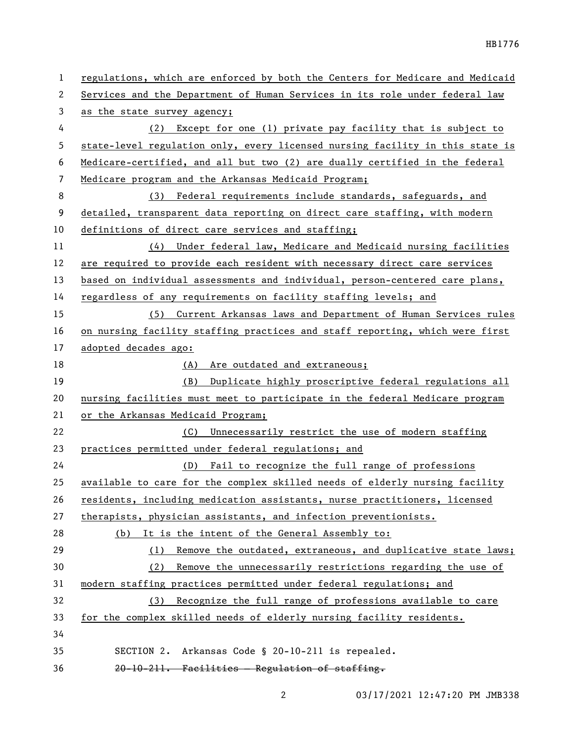| 1  | regulations, which are enforced by both the Centers for Medicare and Medicaid |
|----|-------------------------------------------------------------------------------|
| 2  | Services and the Department of Human Services in its role under federal law   |
| 3  | as the state survey agency;                                                   |
| 4  | Except for one (1) private pay facility that is subject to<br>(2)             |
| 5  | state-level regulation only, every licensed nursing facility in this state is |
| 6  | Medicare-certified, and all but two (2) are dually certified in the federal   |
| 7  | Medicare program and the Arkansas Medicaid Program;                           |
| 8  | Federal requirements include standards, safeguards, and<br>(3)                |
| 9  | detailed, transparent data reporting on direct care staffing, with modern     |
| 10 | definitions of direct care services and staffing;                             |
| 11 | Under federal law, Medicare and Medicaid nursing facilities<br>(4)            |
| 12 | are required to provide each resident with necessary direct care services     |
| 13 | based on individual assessments and individual, person-centered care plans,   |
| 14 | regardless of any requirements on facility staffing levels; and               |
| 15 | (5) Current Arkansas laws and Department of Human Services rules              |
| 16 | on nursing facility staffing practices and staff reporting, which were first  |
| 17 | adopted decades ago:                                                          |
| 18 | Are outdated and extraneous;<br>(A)                                           |
| 19 | Duplicate highly proscriptive federal regulations all<br>(B)                  |
| 20 | nursing facilities must meet to participate in the federal Medicare program   |
| 21 | or the Arkansas Medicaid Program;                                             |
| 22 | (C) Unnecessarily restrict the use of modern staffing                         |
| 23 | practices permitted under federal regulations; and                            |
| 24 | (D) Fail to recognize the full range of professions                           |
| 25 | available to care for the complex skilled needs of elderly nursing facility   |
| 26 | residents, including medication assistants, nurse practitioners, licensed     |
| 27 | therapists, physician assistants, and infection preventionists.               |
| 28 | (b) It is the intent of the General Assembly to:                              |
| 29 | Remove the outdated, extraneous, and duplicative state laws;<br>(1)           |
| 30 | Remove the unnecessarily restrictions regarding the use of<br>(2)             |
| 31 | modern staffing practices permitted under federal regulations; and            |
| 32 | Recognize the full range of professions available to care<br>(3)              |
| 33 | for the complex skilled needs of elderly nursing facility residents.          |
| 34 |                                                                               |
| 35 | Arkansas Code § 20-10-211 is repealed.<br>SECTION 2.                          |
| 36 | 20-10-211. Facilities - Regulation of staffing.                               |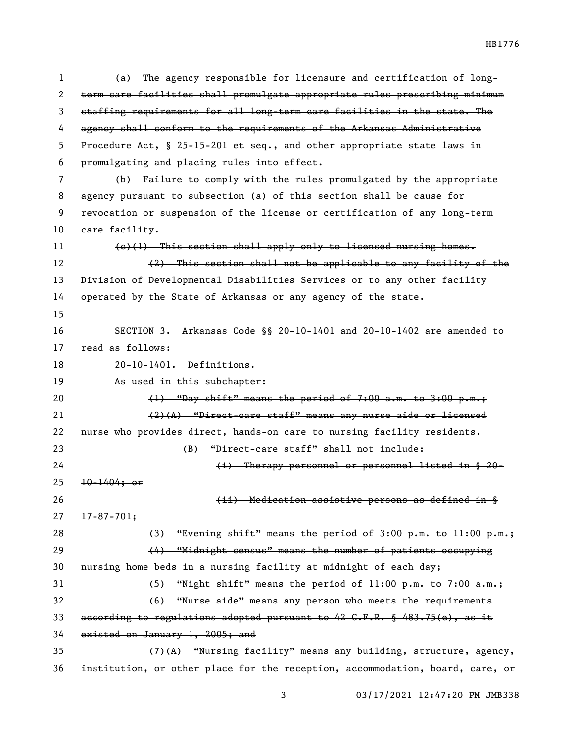(a) The agency responsible for licensure and certification of long- term care facilities shall promulgate appropriate rules prescribing minimum staffing requirements for all long-term care facilities in the state. The agency shall conform to the requirements of the Arkansas Administrative Procedure Act, § 25-15-201 et seq., and other appropriate state laws in promulgating and placing rules into effect. (b) Failure to comply with the rules promulgated by the appropriate agency pursuant to subsection (a) of this section shall be cause for revocation or suspension of the license or certification of any long-term 10 eare facility.  $(e)(1)$  This section shall apply only to licensed nursing homes. (2) This section shall not be applicable to any facility of the 13 Division of Developmental Disabilities Services or to any other facility 14 operated by the State of Arkansas or any agency of the state. SECTION 3. Arkansas Code §§ 20-10-1401 and 20-10-1402 are amended to read as follows: 20-10-1401. Definitions. As used in this subchapter:  $(1)$  "Day shift" means the period of 7:00 a.m. to 3:00 p.m.; (2)(A) "Direct-care staff" means any nurse aide or licensed 22 nurse who provides direct, hands-on care to nursing facility residents. (B) "Direct-care staff" shall not include: (i) Therapy personnel or personnel listed in § 20-  $25 \frac{10-1404}{100}$  (ii) Medication assistive persons as defined in §  $27 \frac{17-87-701+}{27}$  $(3)$  "Evening shift" means the period of  $3:00$  p.m. to  $11:00$  p.m.; (4) "Midnight census" means the number of patients occupying nursing home beds in a nursing facility at midnight of each day; (5) "Night shift" means the period of  $11:00$  p.m. to  $7:00$  a.m.; (6) "Nurse aide" means any person who meets the requirements 33 according to regulations adopted pursuant to G.F.R. §  $483.75(e)$ , as it existed on January 1, 2005; and  $(7)(A)$  "Nursing facility" means any building, structure, agency, institution, or other place for the reception, accommodation, board, care, or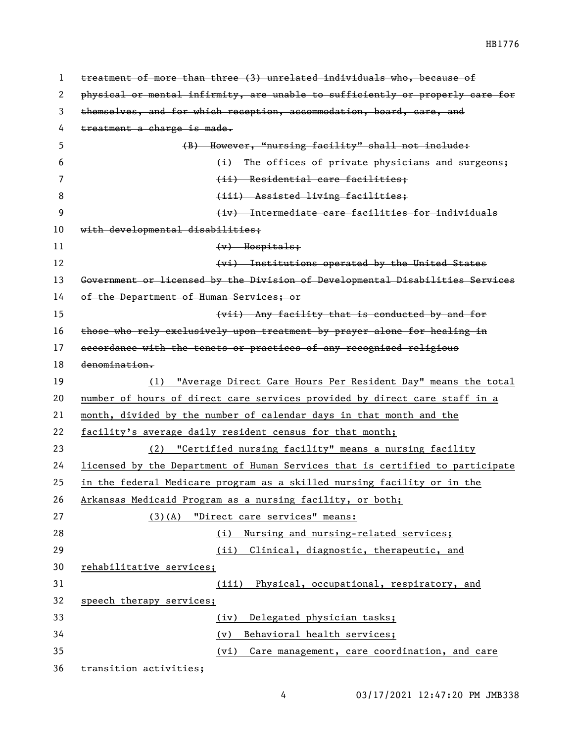| 1  | treatment of more than three (3) unrelated individuals who, because of        |
|----|-------------------------------------------------------------------------------|
| 2  | physical or mental infirmity, are unable to sufficiently or properly care for |
| 3  | themselves, and for which reception, accommodation, board, care, and          |
| 4  | treatment a charge is made.                                                   |
| 5  | (B) However, "nursing facility" shall not include:                            |
| 6  | (i) The offices of private physicians and surgeons;                           |
| 7  | (ii) Residential care facilities:                                             |
| 8  | (iii) Assisted living facilities;                                             |
| 9  | (iv) Intermediate care facilities for individuals                             |
| 10 | with developmental disabilities;                                              |
| 11 | $(v)$ Hospitals;                                                              |
| 12 | (vi) Institutions operated by the United States                               |
| 13 | Government or licensed by the Division of Developmental Disabilities Services |
| 14 | of the Department of Human Services; or                                       |
| 15 | (vii) Any facility that is conducted by and for                               |
| 16 | those who rely exclusively upon treatment by prayer alone for healing in      |
| 17 | accordance with the tenets or practices of any recognized religious           |
| 18 | denomination.                                                                 |
| 19 | (1) "Average Direct Care Hours Per Resident Day" means the total              |
| 20 | number of hours of direct care services provided by direct care staff in a    |
| 21 | month, divided by the number of calendar days in that month and the           |
| 22 | facility's average daily resident census for that month;                      |
| 23 | (2) "Certified nursing facility" means a nursing facility                     |
| 24 | licensed by the Department of Human Services that is certified to participate |
| 25 | in the federal Medicare program as a skilled nursing facility or in the       |
| 26 | Arkansas Medicaid Program as a nursing facility, or both;                     |
| 27 | (3)(A) "Direct care services" means:                                          |
| 28 | Nursing and nursing-related services;<br>(i)                                  |
| 29 | (ii) Clinical, diagnostic, therapeutic, and                                   |
| 30 | rehabilitative services;                                                      |
| 31 | (iii) Physical, occupational, respiratory, and                                |
| 32 | speech therapy services;                                                      |
| 33 | Delegated physician tasks;<br>(iv)                                            |
| 34 | Behavioral health services;<br>(v)                                            |
|    |                                                                               |
| 35 | Care management, care coordination, and care<br>(vi)                          |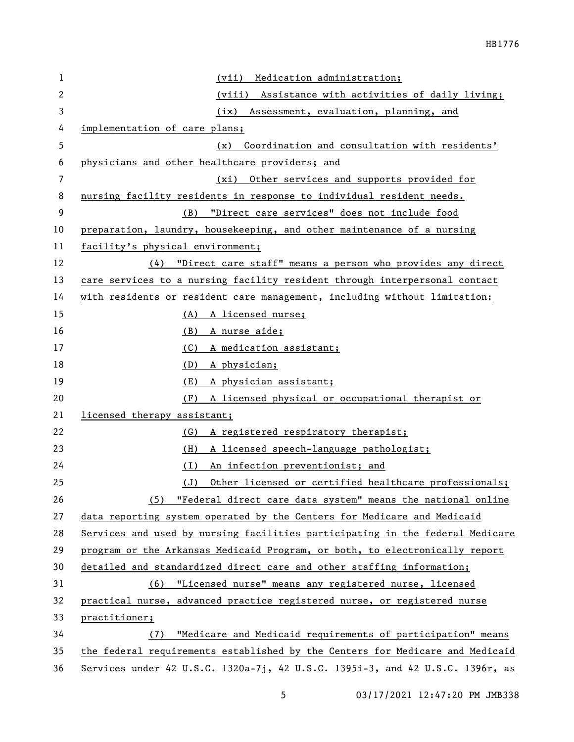| 1            | Medication administration;<br>(vii)                                           |
|--------------|-------------------------------------------------------------------------------|
| $\mathbf{2}$ | (viii) Assistance with activities of daily living;                            |
| 3            | Assessment, evaluation, planning, and<br>(ix)                                 |
| 4            | implementation of care plans;                                                 |
| 5            | Coordination and consultation with residents'<br>(x)                          |
| 6            | physicians and other healthcare providers; and                                |
| 7            | Other services and supports provided for<br>(xi)                              |
| 8            | nursing facility residents in response to individual resident needs.          |
| 9            | "Direct care services" does not include food<br>(B)                           |
| 10           | preparation, laundry, housekeeping, and other maintenance of a nursing        |
| 11           | facility's physical environment;                                              |
| 12           | (4) "Direct care staff" means a person who provides any direct                |
| 13           | care services to a nursing facility resident through interpersonal contact    |
| 14           | with residents or resident care management, including without limitation:     |
| 15           | (A) A licensed nurse;                                                         |
| 16           | (B)<br>A nurse aide;                                                          |
| 17           | A medication assistant;<br>(C)                                                |
| 18           | (D)<br>A physician;                                                           |
| 19           | (E)<br>A physician assistant;                                                 |
| 20           | A licensed physical or occupational therapist or<br>(F)                       |
| 21           | licensed therapy assistant;                                                   |
| 22           | A registered respiratory therapist;<br>(G)                                    |
| 23           | A licensed speech-language pathologist;<br>(H)                                |
| 24           | (1)<br>An infection preventionist; and                                        |
| 25           | Other licensed or certified healthcare professionals;<br>$(\underline{J})$    |
| 26           | (5) "Federal direct care data system" means the national online               |
| 27           | data reporting system operated by the Centers for Medicare and Medicaid       |
| 28           | Services and used by nursing facilities participating in the federal Medicare |
| 29           | program or the Arkansas Medicaid Program, or both, to electronically report   |
| 30           | detailed and standardized direct care and other staffing information;         |
| 31           | (6) "Licensed nurse" means any registered nurse, licensed                     |
| 32           | practical nurse, advanced practice registered nurse, or registered nurse      |
| 33           | practitioner;                                                                 |
| 34           | "Medicare and Medicaid requirements of participation" means<br>(7)            |
| 35           | the federal requirements established by the Centers for Medicare and Medicaid |
| 36           | Services under 42 U.S.C. 1320a-71, 42 U.S.C. 1395i-3, and 42 U.S.C. 1396r, as |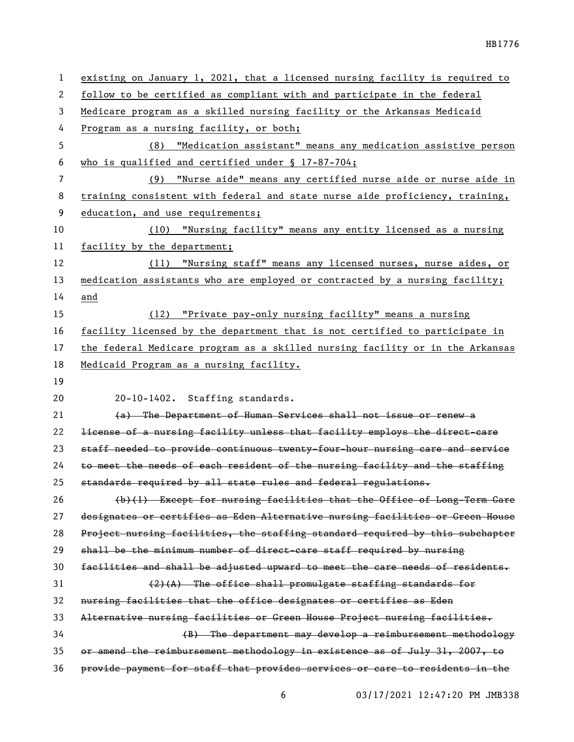| $\mathbf{1}$   | existing on January 1, 2021, that a licensed nursing facility is required to  |
|----------------|-------------------------------------------------------------------------------|
| 2              | follow to be certified as compliant with and participate in the federal       |
| 3              | Medicare program as a skilled nursing facility or the Arkansas Medicaid       |
| 4              | Program as a nursing facility, or both;                                       |
| 5              | (8) "Medication assistant" means any medication assistive person              |
| 6              | who is qualified and certified under $\S$ 17-87-704;                          |
| $\overline{7}$ | (9) "Nurse aide" means any certified nurse aide or nurse aide in              |
| 8              | training consistent with federal and state nurse aide proficiency, training,  |
| 9              | education, and use requirements;                                              |
| 10             | (10) "Nursing facility" means any entity licensed as a nursing                |
| 11             | facility by the department;                                                   |
| 12             | (11) "Nursing staff" means any licensed nurses, nurse aides, or               |
| 13             | medication assistants who are employed or contracted by a nursing facility;   |
| 14             | and                                                                           |
| 15             | (12) "Private pay-only nursing facility" means a nursing                      |
| 16             | facility licensed by the department that is not certified to participate in   |
| 17             | the federal Medicare program as a skilled nursing facility or in the Arkansas |
| 18             | Medicaid Program as a nursing facility.                                       |
|                |                                                                               |
| 19             |                                                                               |
| 20             | 20-10-1402. Staffing standards.                                               |
| 21             | (a) The Department of Human Services shall not issue or renew a               |
| 22             | license of a nursing facility unless that facility employs the direct-care    |
| 23             | staff needed to provide continuous twenty-four-hour nursing care and service  |
| 24             | to meet the needs of each resident of the nursing facility and the staffing   |
| 25             | standards required by all state rules and federal regulations.                |
| 26             | (b)(1) Except for nursing facilities that the Office of Long-Term Care        |
| 27             | designates or certifies as Eden Alternative nursing facilities or Green House |
| 28             | Project nursing facilities, the staffing standard required by this subchapter |
| 29             | shall be the minimum number of direct-care staff required by nursing          |
| 30             | facilities and shall be adjusted upward to meet the care needs of residents.  |
| 31             | (2)(A) The office shall promulgate staffing standards for                     |
| 32             | nursing facilities that the office designates or certifies as Eden            |
| 33             | Alternative nursing facilities or Green House Project nursing facilities.     |
| 34             | (B) The department may develop a reimbursement methodology                    |
| 35             | or amend the reimbursement methodology in existence as of July 31, 2007, to   |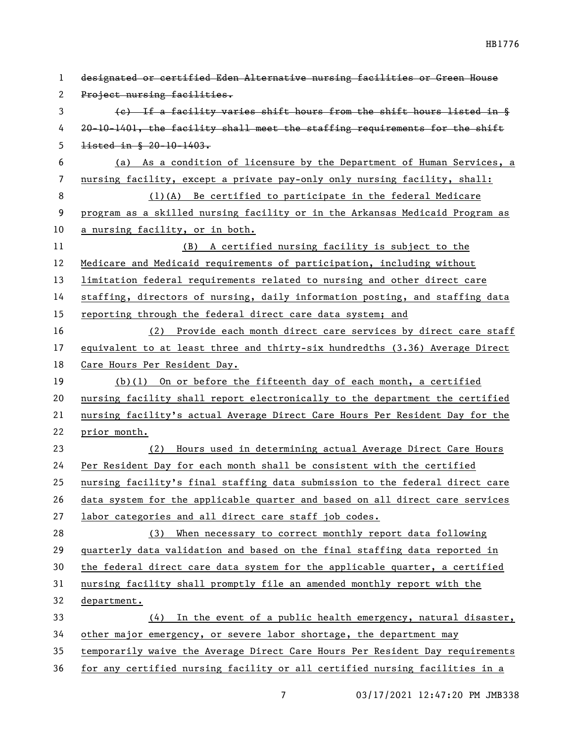| 1  | designated or certified Eden Alternative nursing facilities or Green House      |
|----|---------------------------------------------------------------------------------|
| 2  | Project nursing facilities.                                                     |
| 3  | (e) If a facility varies shift hours from the shift hours listed in §           |
| 4  | 20-10-1401, the facility shall meet the staffing requirements for the shift     |
| 5  | listed in § 20-10-1403.                                                         |
| 6  | (a) As a condition of licensure by the Department of Human Services, a          |
| 7  | nursing facility, except a private pay-only only nursing facility, shall:       |
| 8  | $(1)(A)$ Be certified to participate in the federal Medicare                    |
| 9  | program as a skilled nursing facility or in the Arkansas Medicaid Program as    |
| 10 | a nursing facility, or in both.                                                 |
| 11 | (B) A certified nursing facility is subject to the                              |
| 12 | Medicare and Medicaid requirements of participation, including without          |
| 13 | <u>limitation federal requirements related to nursing and other direct care</u> |
| 14 | staffing, directors of nursing, daily information posting, and staffing data    |
| 15 | reporting through the federal direct care data system; and                      |
| 16 | (2) Provide each month direct care services by direct care staff                |
| 17 | equivalent to at least three and thirty-six hundredths (3.36) Average Direct    |
| 18 | Care Hours Per Resident Day.                                                    |
| 19 | $(b)(1)$ On or before the fifteenth day of each month, a certified              |
| 20 | nursing facility shall report electronically to the department the certified    |
| 21 | nursing facility's actual Average Direct Care Hours Per Resident Day for the    |
| 22 | prior month.                                                                    |
| 23 | Hours used in determining actual Average Direct Care Hours<br>(2)               |
| 24 | Per Resident Day for each month shall be consistent with the certified          |
| 25 | nursing facility's final staffing data submission to the federal direct care    |
| 26 | data system for the applicable quarter and based on all direct care services    |
| 27 | labor categories and all direct care staff job codes.                           |
| 28 | (3) When necessary to correct monthly report data following                     |
| 29 | quarterly data validation and based on the final staffing data reported in      |
| 30 | the federal direct care data system for the applicable quarter, a certified     |
| 31 | nursing facility shall promptly file an amended monthly report with the         |
| 32 | <u>department.</u>                                                              |
| 33 | In the event of a public health emergency, natural disaster,<br>(4)             |
| 34 | other major emergency, or severe labor shortage, the department may             |
| 35 | temporarily waive the Average Direct Care Hours Per Resident Day requirements   |
| 36 | for any certified nursing facility or all certified nursing facilities in a     |

7 03/17/2021 12:47:20 PM JMB338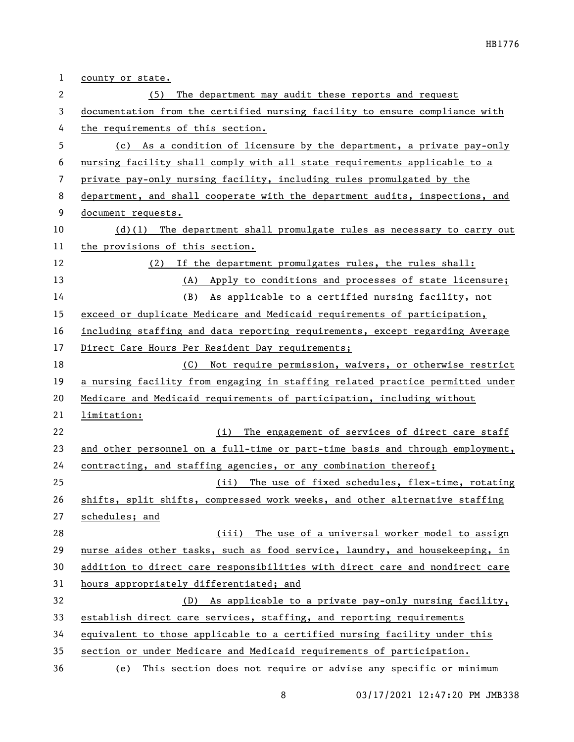| 1  | county or state.                                                              |
|----|-------------------------------------------------------------------------------|
| 2  | The department may audit these reports and request<br>(5)                     |
| 3  | documentation from the certified nursing facility to ensure compliance with   |
| 4  | the requirements of this section.                                             |
| 5  | (c) As a condition of licensure by the department, a private pay-only         |
| 6  | nursing facility shall comply with all state requirements applicable to a     |
| 7  | private pay-only nursing facility, including rules promulgated by the         |
| 8  | department, and shall cooperate with the department audits, inspections, and  |
| 9  | document requests.                                                            |
| 10 | The department shall promulgate rules as necessary to carry out<br>$(d)$ (1)  |
| 11 | the provisions of this section.                                               |
| 12 | If the department promulgates rules, the rules shall:<br>(2)                  |
| 13 | (A) Apply to conditions and processes of state licensure;                     |
| 14 | (B) As applicable to a certified nursing facility, not                        |
| 15 | exceed or duplicate Medicare and Medicaid requirements of participation,      |
| 16 | including staffing and data reporting requirements, except regarding Average  |
| 17 | Direct Care Hours Per Resident Day requirements;                              |
| 18 | Not require permission, waivers, or otherwise restrict<br>(C)                 |
| 19 | a nursing facility from engaging in staffing related practice permitted under |
| 20 | Medicare and Medicaid requirements of participation, including without        |
| 21 | limitation:                                                                   |
| 22 | The engagement of services of direct care staff<br>(i)                        |
| 23 | and other personnel on a full-time or part-time basis and through employment, |
| 24 | contracting, and staffing agencies, or any combination thereof;               |
| 25 | (ii) The use of fixed schedules, flex-time, rotating                          |
| 26 | shifts, split shifts, compressed work weeks, and other alternative staffing   |
| 27 | schedules; and                                                                |
| 28 | (iii) The use of a universal worker model to assign                           |
| 29 | nurse aides other tasks, such as food service, laundry, and housekeeping, in  |
| 30 | addition to direct care responsibilities with direct care and nondirect care  |
| 31 | hours appropriately differentiated; and                                       |
| 32 | (D) As applicable to a private pay-only nursing facility,                     |
| 33 | establish direct care services, staffing, and reporting requirements          |
| 34 | equivalent to those applicable to a certified nursing facility under this     |
| 35 | section or under Medicare and Medicaid requirements of participation.         |
| 36 | (e) This section does not require or advise any specific or minimum           |

8 03/17/2021 12:47:20 PM JMB338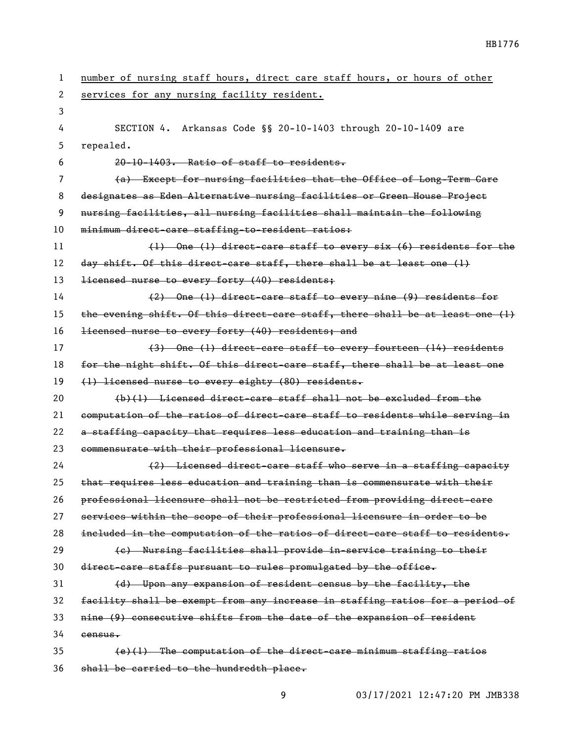| 1  | number of nursing staff hours, direct care staff hours, or hours of other     |
|----|-------------------------------------------------------------------------------|
| 2  | services for any nursing facility resident.                                   |
| 3  |                                                                               |
| 4  | SECTION 4. Arkansas Code §§ 20-10-1403 through 20-10-1409 are                 |
| 5  | repealed.                                                                     |
| 6  | 20-10-1403. Ratio of staff to residents.                                      |
| 7  | (a) Except for nursing facilities that the Office of Long-Term Care           |
| 8  | designates as Eden Alternative nursing facilities or Green House Project      |
| 9  | nursing facilities, all nursing facilities shall maintain the following       |
| 10 | minimum direct-care staffing-to-resident ratios:                              |
| 11 | $(1)$ One (1) direct-care staff to every six $(6)$ residents for the          |
| 12 | day shift. Of this direct-care staff, there shall be at least one (1)         |
| 13 | licensed nurse to every forty (40) residents;                                 |
| 14 | (2) One (1) direct-care staff to every nine (9) residents for                 |
| 15 | the evening shift. Of this direct-care staff, there shall be at least one (1) |
| 16 | licensed nurse to every forty (40) residents; and                             |
| 17 | (3) One (1) direct-care staff to every fourteen (14) residents                |
| 18 | for the night shift. Of this direct-care staff, there shall be at least one   |
| 19 | (1) licensed nurse to every eighty (80) residents.                            |
| 20 | (b)(1) Licensed direct-care staff shall not be excluded from the              |
| 21 | computation of the ratios of direct-care staff to residents while serving in  |
| 22 | a staffing capacity that requires less education and training than is         |
| 23 | commensurate with their professional licensure.                               |
| 24 | (2) Licensed direct-care staff who serve in a staffing capacity               |
| 25 | that requires less education and training than is commensurate with their     |
| 26 | professional licensure shall not be restricted from providing direct-care     |
| 27 | services within the scope of their professional licensure in order to be      |
| 28 | included in the computation of the ratios of direct-care staff to residents.  |
| 29 | (e) Nursing facilities shall provide in service training to their             |
| 30 | direct-care staffs pursuant to rules promulgated by the office.               |
| 31 | (d) Upon any expansion of resident census by the facility, the                |
| 32 | facility shall be exempt from any increase in staffing ratios for a period of |
| 33 | nine (9) consecutive shifts from the date of the expansion of resident        |
| 34 | census.                                                                       |
| 35 | $(e)(1)$ The computation of the direct-care minimum staffing ratios           |
| 36 | shall be carried to the hundredth place.                                      |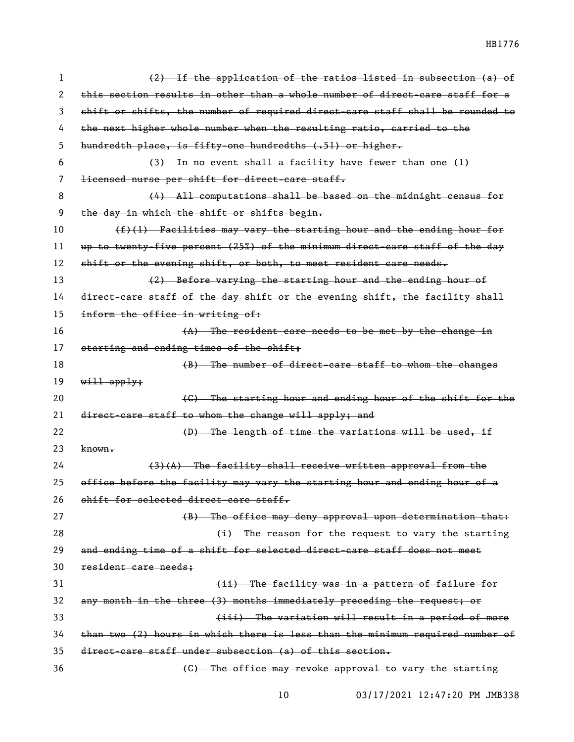HB1776

| 1  | (2) If the application of the ratios listed in subsection (a) of              |
|----|-------------------------------------------------------------------------------|
| 2  | this section results in other than a whole number of direct-care staff for a  |
| 3  | shift or shifts, the number of required direct-care staff shall be rounded to |
| 4  | the next higher whole number when the resulting ratio, carried to the         |
| 5  | hundredth place, is fifty-one hundredths (.51) or higher.                     |
| 6  | (3) In no event shall a facility have fewer than one (1)                      |
| 7  | licensed nurse per shift for direct-care staff.                               |
| 8  | (4) All computations shall be based on the midnight census for                |
| 9  | the day in which the shift or shifts begin.                                   |
| 10 | $(f)(1)$ Facilities may vary the starting hour and the ending hour for        |
| 11 | up to twenty-five percent (25%) of the minimum direct-care staff of the day   |
| 12 | shift or the evening shift, or both, to meet resident care needs.             |
| 13 | (2) Before varying the starting hour and the ending hour of                   |
| 14 | direct-care staff of the day shift or the evening shift, the facility shall   |
| 15 | inform the office in writing of:                                              |
| 16 | $(A)$ The resident care needs to be met by the change in                      |
| 17 | starting and ending times of the shift;                                       |
| 18 | (B) The number of direct-care staff to whom the changes                       |
|    |                                                                               |
| 19 | $w$ ill apply;                                                                |
| 20 | (G) The starting hour and ending hour of the shift for the                    |
| 21 | direct-care staff to whom the change will apply; and                          |
| 22 | (D) The length of time the variations will be used, if                        |
| 23 | <del>known.</del>                                                             |
| 24 | (3)(A) The facility shall receive written approval from the                   |
| 25 | office before the facility may vary the starting hour and ending hour of a    |
| 26 | shift for selected direct-care staff.                                         |
| 27 | (B) The office may deny approval upon determination that:                     |
| 28 | (i) The reason for the request to vary the starting                           |
| 29 | and ending time of a shift for selected direct-care staff does not meet       |
| 30 | resident care needs;                                                          |
| 31 | (ii) The facility was in a pattern of failure for                             |
| 32 | any month in the three (3) months immediately preceding the request; or       |
| 33 | (iii) The variation will result in a period of more                           |
| 34 | than two (2) hours in which there is less than the minimum required number of |
| 35 | direct-care staff under subsection (a) of this section.                       |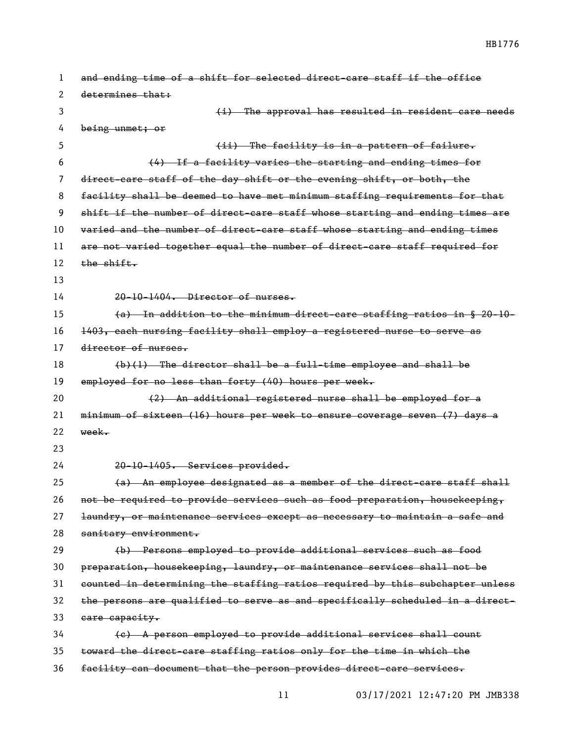| 1  | and ending time of a shift for selected direct-care staff if the office       |
|----|-------------------------------------------------------------------------------|
| 2  | determines that:                                                              |
| 3  | (i) The approval has resulted in resident care needs                          |
| 4  | $being$ unmet; or                                                             |
| 5  | (ii) The facility is in a pattern of failure.                                 |
| 6  | (4) If a facility varies the starting and ending times for                    |
| 7  | direct-care staff of the day shift or the evening shift, or both, the         |
| 8  | facility shall be deemed to have met minimum staffing requirements for that   |
| 9  | shift if the number of direct-care staff whose starting and ending times are  |
| 10 | varied and the number of direct-care staff whose starting and ending times    |
| 11 | are not varied together equal the number of direct-care staff required for    |
| 12 | the shift.                                                                    |
| 13 |                                                                               |
| 14 | 20-10-1404. Director of nurses.                                               |
| 15 | (a) In addition to the minimum direct-care staffing ratios in § 20-10-        |
| 16 | 1403, each nursing facility shall employ a registered nurse to serve as       |
| 17 | director of nurses.                                                           |
| 18 | $(b)(1)$ The director shall be a full-time employee and shall be              |
| 19 | employed for no less than forty (40) hours per week.                          |
| 20 | (2) An additional registered nurse shall be employed for a                    |
| 21 | minimum of sixteen (16) hours per week to ensure coverage seven (7) days a    |
| 22 | week.                                                                         |
| 23 |                                                                               |
| 24 | 20-10-1405. Services provided.                                                |
| 25 | (a) An employee designated as a member of the direct-care staff shall         |
| 26 | not be required to provide services such as food preparation, housekeeping,   |
| 27 | laundry, or maintenance services except as necessary to maintain a safe and   |
| 28 | sanitary environment.                                                         |
| 29 | (b) Persons employed to provide additional services such as food              |
| 30 | preparation, housekeeping, laundry, or maintenance services shall not be      |
| 31 | counted in determining the staffing ratios required by this subchapter unless |
| 32 | the persons are qualified to serve as and specifically scheduled in a direct- |
| 33 | eare capacity.                                                                |
| 34 | (c) A person employed to provide additional services shall count              |
| 35 | toward the direct-care staffing ratios only for the time in which the         |
| 36 | facility can document that the person provides direct-care services.          |

03/17/2021 12:47:20 PM JMB338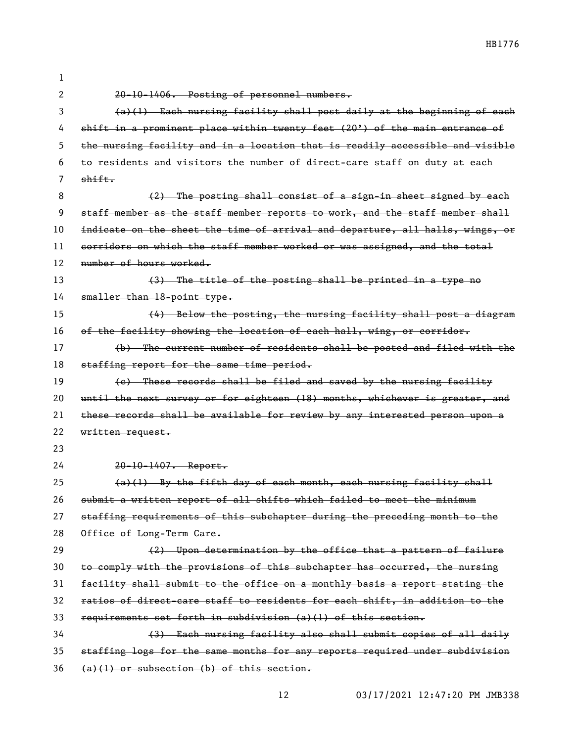| 1  |                                                                               |
|----|-------------------------------------------------------------------------------|
| 2  | 20-10-1406. Posting of personnel numbers.                                     |
| 3  | (a)(1) Each nursing facility shall post daily at the beginning of each        |
| 4  | shift in a prominent place within twenty feet (20') of the main entrance of   |
| 5  | the nursing facility and in a location that is readily accessible and visible |
| 6  | to residents and visitors the number of direct care staff on duty at each     |
| 7  | shift.                                                                        |
| 8  | $(2)$ The posting shall consist of a sign-in sheet signed by each             |
| 9  | staff member as the staff member reports to work, and the staff member shall  |
| 10 | indicate on the sheet the time of arrival and departure, all halls, wings, or |
| 11 | corridors on which the staff member worked or was assigned, and the total     |
| 12 | number of hours worked.                                                       |
| 13 | (3) The title of the posting shall be printed in a type no                    |
| 14 | smaller than 18-point type.                                                   |
| 15 | (4) Below the posting, the nursing facility shall post a diagram              |
| 16 | of the facility showing the location of each hall, wing, or corridor.         |
| 17 | (b) The current number of residents shall be posted and filed with the        |
| 18 | staffing report for the same time period.                                     |
| 19 | (e) These records shall be filed and saved by the nursing facility            |
| 20 | until the next survey or for eighteen (18) months, whichever is greater, and  |
| 21 | these records shall be available for review by any interested person upon a   |
| 22 | written request.                                                              |
| 23 |                                                                               |
| 24 | 20-10-1407. Report.                                                           |
| 25 | (a)(1) By the fifth day of each month, each nursing facility shall            |
| 26 | submit a written report of all shifts which failed to meet the minimum        |
| 27 | staffing requirements of this subchapter during the preceding month to the    |
| 28 | Office of Long-Term Care.                                                     |
| 29 | (2) Upon determination by the office that a pattern of failure                |
| 30 | to comply with the provisions of this subchapter has occurred, the nursing    |
| 31 | facility shall submit to the office on a monthly basis a report stating the   |
| 32 | ratios of direct-care staff to residents for each shift, in addition to the   |
| 33 | requirements set forth in subdivision (a)(1) of this section.                 |
| 34 | (3) Each nursing facility also shall submit copies of all daily               |
| 35 | staffing logs for the same months for any reports required under subdivision  |
| 36 | $(a)(1)$ or subsection (b) of this section.                                   |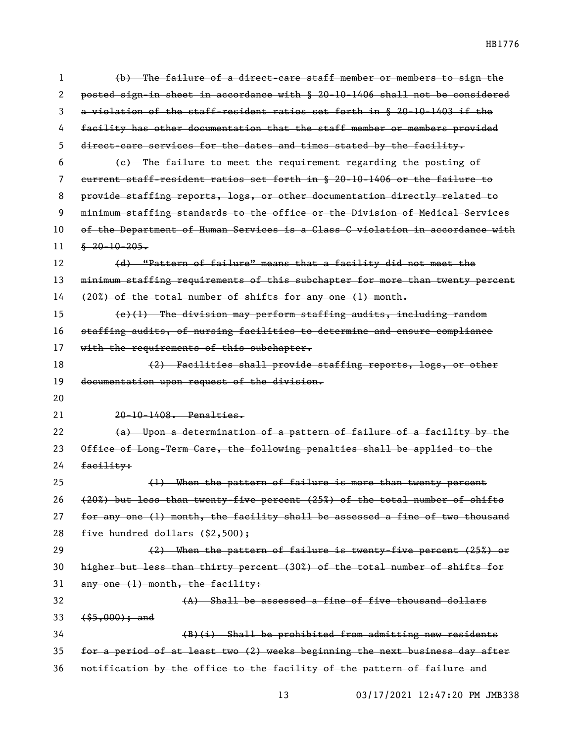(b) The failure of a direct-care staff member or members to sign the posted sign-in sheet in accordance with § 20-10-1406 shall not be considered a violation of the staff-resident ratios set forth in § 20-10-1403 if the facility has other documentation that the staff member or members provided direct-care services for the dates and times stated by the facility. (c) The failure to meet the requirement regarding the posting of current staff-resident ratios set forth in § 20-10-1406 or the failure to provide staffing reports, logs, or other documentation directly related to minimum staffing standards to the office or the Division of Medical Services of the Department of Human Services is a Class C violation in accordance with  $11 \quad$   $\frac{6}{20} - 10 - 205$ . 12 (d) "Pattern of failure" means that a facility did not meet the 13 minimum staffing requirements of this subchapter for more than twenty percent (20%) of the total number of shifts for any one (1) month.  $(e)(1)$  The division may perform staffing audits, including random staffing audits, of nursing facilities to determine and ensure compliance 17 with the requirements of this subchapter. 18 (2) Facilities shall provide staffing reports, logs, or other documentation upon request of the division. 20-10-1408. Penalties. 22 (a) Upon a determination of a pattern of failure of a facility by the Office of Long-Term Care, the following penalties shall be applied to the facility: (1) When the pattern of failure is more than twenty percent (20%) but less than twenty-five percent (25%) of the total number of shifts 27 for any one (1) month, the facility shall be assessed a fine of two thousand  $five hundred dollars (§2,500);$  (2) When the pattern of failure is twenty-five percent (25%) or higher but less than thirty percent (30%) of the total number of shifts for any one (1) month, the facility: (A) Shall be assessed a fine of five thousand dollars 33 (\$5,000); and (B)(i) Shall be prohibited from admitting new residents for a period of at least two (2) weeks beginning the next business day after notification by the office to the facility of the pattern of failure and

03/17/2021 12:47:20 PM JMB338

HB1776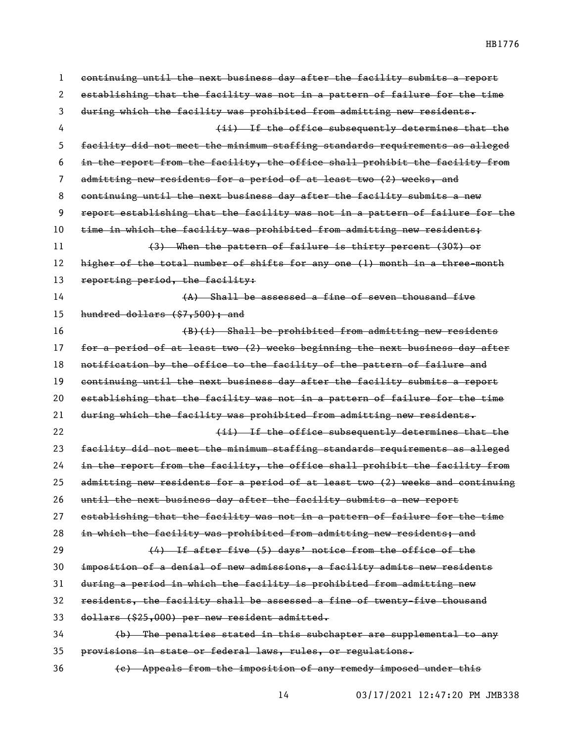| 1  | continuing until the next business day after the facility submits a report    |
|----|-------------------------------------------------------------------------------|
| 2  | establishing that the facility was not in a pattern of failure for the time   |
| 3  | during which the facility was prohibited from admitting new residents.        |
| 4  | (ii) If the office subsequently determines that the                           |
| 5  | facility did not meet the minimum staffing standards requirements as alleged  |
| 6  | in the report from the facility, the office shall prohibit the facility from  |
| 7  | admitting new residents for a period of at least two (2) weeks, and           |
| 8  | continuing until the next business day after the facility submits a new       |
| 9  | report establishing that the facility was not in a pattern of failure for the |
| 10 | time in which the facility was prohibited from admitting new residents;       |
| 11 | (3) When the pattern of failure is thirty percent (30%) or                    |
| 12 | higher of the total number of shifts for any one (1) month in a three-month   |
| 13 | reporting period, the facility:                                               |
| 14 | (A) Shall be assessed a fine of seven thousand five                           |
| 15 | hundred dollars $(87,500)$ ; and                                              |
| 16 | (B)(i) Shall be prohibited from admitting new residents                       |
| 17 | for a period of at least two (2) weeks beginning the next business day after  |
| 18 | notification by the office to the facility of the pattern of failure and      |
| 19 | continuing until the next business day after the facility submits a report    |
| 20 | establishing that the facility was not in a pattern of failure for the time   |
| 21 | during which the facility was prohibited from admitting new residents.        |
| 22 | (ii) If the office subsequently determines that the                           |
| 23 | facility did not meet the minimum staffing standards requirements as alleged  |
| 24 | in the report from the facility, the office shall prohibit the facility from  |
| 25 | admitting new residents for a period of at least two (2) weeks and continuing |
| 26 | until the next business day after the facility submits a new report           |
| 27 | establishing that the facility was not in a pattern of failure for the time   |
| 28 | in which the facility was prohibited from admitting new residents; and        |
| 29 | (4) If after five (5) days' notice from the office of the                     |
| 30 | imposition of a denial of new admissions, a facility admits new residents     |
| 31 | during a period in which the facility is prohibited from admitting new        |
| 32 | residents, the facility shall be assessed a fine of twenty-five thousand      |
| 33 | dollars (\$25,000) per new resident admitted.                                 |
| 34 | (b) The penalties stated in this subchapter are supplemental to any           |
| 35 | provisions in state or federal laws, rules, or regulations.                   |
| 36 | (e) Appeals from the imposition of any remedy imposed under this              |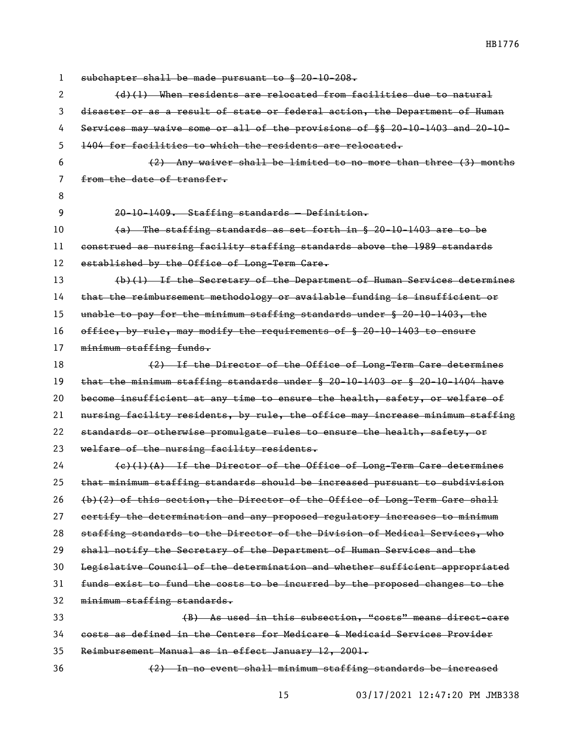| 1  | subchapter shall be made pursuant to § 20-10-208.                                 |
|----|-----------------------------------------------------------------------------------|
| 2  | $(d)$ (1) When residents are relocated from facilities due to natural             |
| 3  | disaster or as a result of state or federal action, the Department of Human       |
| 4  | Services may waive some or all of the provisions of §§ 20-10-1403 and 20-10-      |
| 5  | 1404 for facilities to which the residents are relocated.                         |
| 6  | $(2)$ Any waiver shall be limited to no more than three $(3)$ months              |
| 7  | from the date of transfer.                                                        |
| 8  |                                                                                   |
| 9  | 20-10-1409. Staffing standards - Definition.                                      |
| 10 | (a) The staffing standards as set forth in § 20-10-1403 are to be                 |
| 11 | construed as nursing facility staffing standards above the 1989 standards         |
| 12 | established by the Office of Long-Term Care.                                      |
| 13 | (b)(1) If the Secretary of the Department of Human Services determines            |
| 14 | that the reimbursement methodology or available funding is insufficient or        |
| 15 | unable to pay for the minimum staffing standards under § 20-10-1403, the          |
| 16 | office, by rule, may modify the requirements of § 20-10-1403 to ensure            |
| 17 | minimum staffing funds.                                                           |
| 18 | (2) If the Director of the Office of Long-Term Care determines                    |
| 19 | that the minimum staffing standards under $\S$ 20-10-1403 or $\S$ 20-10-1404 have |
| 20 | become insufficient at any time to ensure the health, safety, or welfare of       |
| 21 | nursing facility residents, by rule, the office may increase minimum staffing     |
| 22 | standards or otherwise promulgate rules to ensure the health, safety, or          |
| 23 | welfare of the nursing facility residents.                                        |
| 24 | $(e)$ (1)(A) If the Director of the Office of Long-Term Care determines           |
| 25 | that minimum staffing standards should be increased pursuant to subdivision       |
| 26 | (b)(2) of this section, the Director of the Office of Long-Term Care shall        |
| 27 | eertify the determination and any proposed regulatory increases to minimum        |
| 28 | staffing standards to the Director of the Division of Medical Services, who       |
| 29 | shall notify the Secretary of the Department of Human Services and the            |
| 30 | Legislative Council of the determination and whether sufficient appropriated      |
| 31 | funds exist to fund the costs to be incurred by the proposed changes to the       |
| 32 | minimum staffing standards.                                                       |
| 33 | (B) As used in this subsection, "costs" means direct-care                         |
| 34 | costs as defined in the Centers for Medicare & Medicaid Services Provider         |
| 35 | Reimbursement Manual as in effect January 12, 2001.                               |
| 36 | (2) In no event shall minimum staffing standards be increased                     |